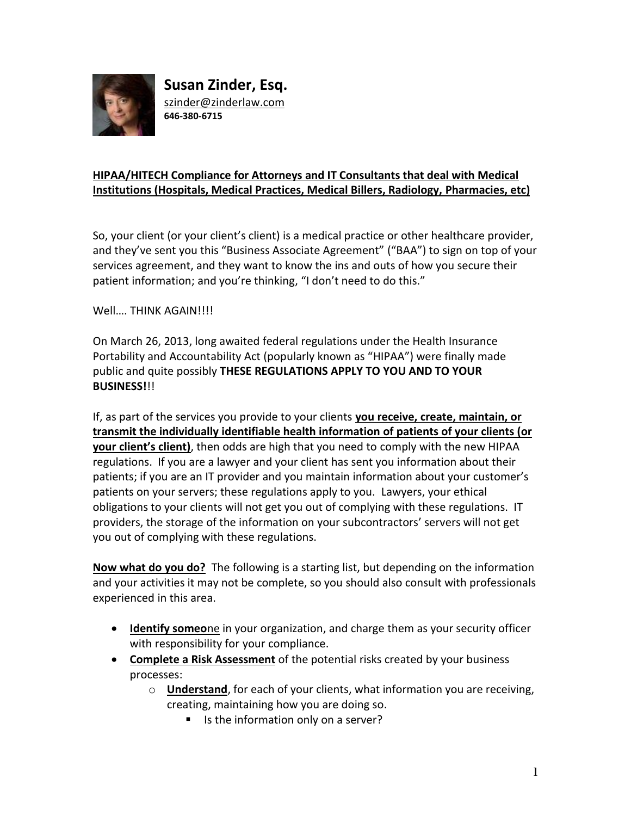

**Susan Zinder, Esq.** [szinder@zinderlaw.com](mailto:szinder@zinderlaw.com) **646-380-6715**

## **HIPAA/HITECH Compliance for Attorneys and IT Consultants that deal with Medical Institutions (Hospitals, Medical Practices, Medical Billers, Radiology, Pharmacies, etc)**

So, your client (or your client's client) is a medical practice or other healthcare provider, and they've sent you this "Business Associate Agreement" ("BAA") to sign on top of your services agreement, and they want to know the ins and outs of how you secure their patient information; and you're thinking, "I don't need to do this."

Well.... THINK AGAIN!!!!

On March 26, 2013, long awaited federal regulations under the Health Insurance Portability and Accountability Act (popularly known as "HIPAA") were finally made public and quite possibly **THESE REGULATIONS APPLY TO YOU AND TO YOUR BUSINESS!**!!

If, as part of the services you provide to your clients **you receive, create, maintain, or transmit the individually identifiable health information of patients of your clients (or your client's client)**, then odds are high that you need to comply with the new HIPAA regulations. If you are a lawyer and your client has sent you information about their patients; if you are an IT provider and you maintain information about your customer's patients on your servers; these regulations apply to you. Lawyers, your ethical obligations to your clients will not get you out of complying with these regulations. IT providers, the storage of the information on your subcontractors' servers will not get you out of complying with these regulations.

**Now what do you do?** The following is a starting list, but depending on the information and your activities it may not be complete, so you should also consult with professionals experienced in this area.

- **Identify someone** in your organization, and charge them as your security officer with responsibility for your compliance.
- **Complete a Risk Assessment** of the potential risks created by your business processes:
	- o **Understand**, for each of your clients, what information you are receiving, creating, maintaining how you are doing so.
		- Is the information only on a server?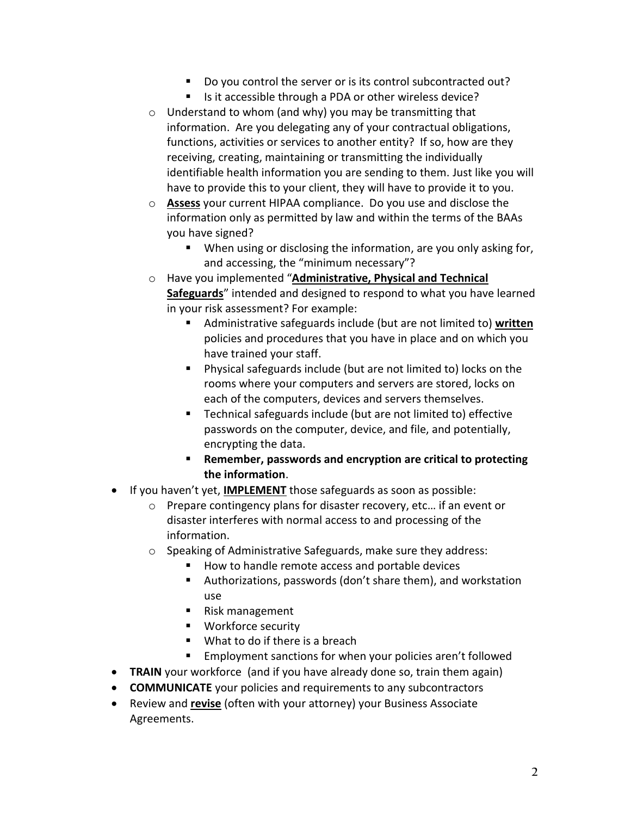- Do you control the server or is its control subcontracted out?
- Is it accessible through a PDA or other wireless device?
- o Understand to whom (and why) you may be transmitting that information. Are you delegating any of your contractual obligations, functions, activities or services to another entity? If so, how are they receiving, creating, maintaining or transmitting the individually identifiable health information you are sending to them. Just like you will have to provide this to your client, they will have to provide it to you.
- o **Assess** your current HIPAA compliance. Do you use and disclose the information only as permitted by law and within the terms of the BAAs you have signed?
	- When using or disclosing the information, are you only asking for, and accessing, the "minimum necessary"?
- o Have you implemented "**Administrative, Physical and Technical Safeguards**" intended and designed to respond to what you have learned in your risk assessment? For example:
	- Administrative safeguards include (but are not limited to) **written** policies and procedures that you have in place and on which you have trained your staff.
	- Physical safeguards include (but are not limited to) locks on the rooms where your computers and servers are stored, locks on each of the computers, devices and servers themselves.
	- Technical safeguards include (but are not limited to) effective passwords on the computer, device, and file, and potentially, encrypting the data.
	- **Remember, passwords and encryption are critical to protecting the information**.
- If you haven't yet, **IMPLEMENT** those safeguards as soon as possible:
	- o Prepare contingency plans for disaster recovery, etc… if an event or disaster interferes with normal access to and processing of the information.
	- o Speaking of Administrative Safeguards, make sure they address:
		- How to handle remote access and portable devices
		- Authorizations, passwords (don't share them), and workstation use
		- Risk management
		- **Workforce security**
		- **What to do if there is a breach**
		- **Employment sanctions for when your policies aren't followed**
- **TRAIN** your workforce (and if you have already done so, train them again)
- **COMMUNICATE** your policies and requirements to any subcontractors
- Review and **revise** (often with your attorney) your Business Associate Agreements.